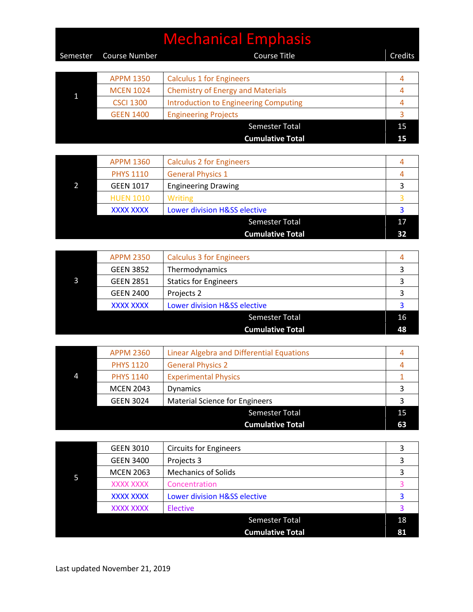## Mechanical Emphasis Semester Course Number Course Title Course Title Credits 1 APPM 1350 Calculus 1 for Engineers 4 MCEN 1024 Chemistry of Energy and Materials 4 CSCI 1300 Introduction to Engineering Computing Theorem 2012 14 GEEN 1400 Engineering Projects 3 Semester Total 15

**Cumulative Total 15**

| <b>APPM 1360</b> | <b>Calculus 2 for Engineers</b> |    |
|------------------|---------------------------------|----|
| <b>PHYS 1110</b> | <b>General Physics 1</b>        |    |
| <b>GEEN 1017</b> | <b>Engineering Drawing</b>      |    |
| <b>HUEN 1010</b> | Writing                         |    |
| <b>XXXX XXXX</b> | Lower division H&SS elective    |    |
|                  | <b>Semester Total</b>           | 17 |
|                  | <b>Cumulative Total</b>         |    |

|  | <b>APPM 2350</b> | <b>Calculus 3 for Engineers</b> |    |
|--|------------------|---------------------------------|----|
|  | <b>GEEN 3852</b> | Thermodynamics                  |    |
|  | <b>GEEN 2851</b> | <b>Statics for Engineers</b>    |    |
|  | <b>GEEN 2400</b> | Projects 2                      |    |
|  | <b>XXXX XXXX</b> | Lower division H&SS elective    |    |
|  |                  | <b>Semester Total</b>           | 16 |
|  |                  | <b>Cumulative Total</b>         | 48 |

| Linear Algebra and Differential Equations                |                                      |
|----------------------------------------------------------|--------------------------------------|
| <b>General Physics 2</b>                                 |                                      |
| <b>Experimental Physics</b>                              |                                      |
| <b>Dynamics</b>                                          |                                      |
| <b>Material Science for Engineers</b>                    |                                      |
| <b>Semester Total</b>                                    | 15                                   |
| <b>Cumulative Total</b>                                  | 63                                   |
| <b>PHYS 1120</b><br><b>PHYS 1140</b><br><b>GEEN 3024</b> | <b>APPM 2360</b><br><b>MCEN 2043</b> |

|  | <b>GEEN 3010</b> | <b>Circuits for Engineers</b> |    |
|--|------------------|-------------------------------|----|
|  | <b>GEEN 3400</b> | Projects 3                    |    |
|  | <b>MCEN 2063</b> | <b>Mechanics of Solids</b>    |    |
|  | XXXX XXXX        | Concentration                 |    |
|  | <b>XXXX XXXX</b> | Lower division H&SS elective  |    |
|  | XXXX XXXX        | <b>Elective</b>               |    |
|  |                  | <b>Semester Total</b>         | 18 |
|  |                  | <b>Cumulative Total</b>       | 81 |